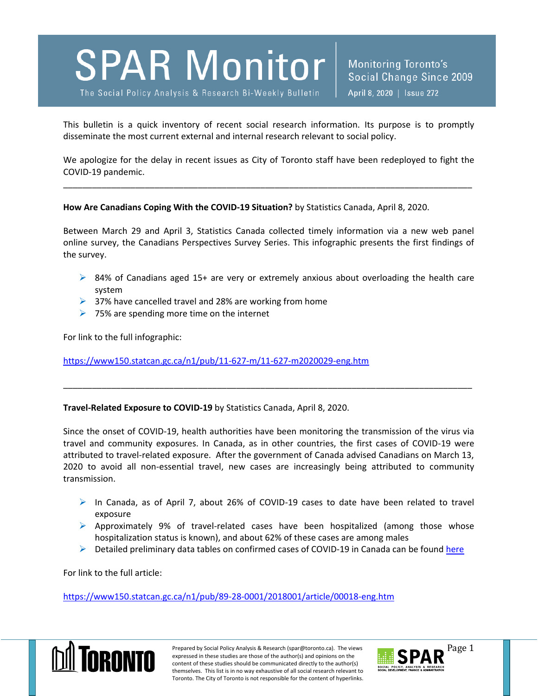# **SPAR Monitor**

The Social Policy Analysis & Research Bi-Weekly Bulletin

Monitoring Toronto's Social Change Since 2009 April 8, 2020 | Issue 272

This bulletin is a quick inventory of recent social research information. Its purpose is to promptly disseminate the most current external and internal research relevant to social policy.

We apologize for the delay in recent issues as City of Toronto staff have been redeployed to fight the COVID-19 pandemic.

\_\_\_\_\_\_\_\_\_\_\_\_\_\_\_\_\_\_\_\_\_\_\_\_\_\_\_\_\_\_\_\_\_\_\_\_\_\_\_\_\_\_\_\_\_\_\_\_\_\_\_\_\_\_\_\_\_\_\_\_\_\_\_\_\_\_\_\_\_\_\_\_\_\_\_\_\_\_\_\_\_\_\_\_\_

#### **How Are Canadians Coping With the COVID-19 Situation?** by Statistics Canada, April 8, 2020.

Between March 29 and April 3, Statistics Canada collected timely information via a new web panel online survey, the Canadians Perspectives Survey Series. This infographic presents the first findings of the survey.

- $\triangleright$  84% of Canadians aged 15+ are very or extremely anxious about overloading the health care system
- $\geq$  37% have cancelled travel and 28% are working from home
- $\triangleright$  75% are spending more time on the internet

For link to the full infographic:

### <https://www150.statcan.gc.ca/n1/pub/11-627-m/11-627-m2020029-eng.htm>

### **Travel-Related Exposure to COVID-19** by Statistics Canada, April 8, 2020.

Since the onset of COVID-19, health authorities have been monitoring the transmission of the virus via travel and community exposures. In Canada, as in other countries, the first cases of COVID-19 were attributed to travel-related exposure. After the government of Canada advised Canadians on March 13, 2020 to avoid all non-essential travel, new cases are increasingly being attributed to community transmission.

\_\_\_\_\_\_\_\_\_\_\_\_\_\_\_\_\_\_\_\_\_\_\_\_\_\_\_\_\_\_\_\_\_\_\_\_\_\_\_\_\_\_\_\_\_\_\_\_\_\_\_\_\_\_\_\_\_\_\_\_\_\_\_\_\_\_\_\_\_\_\_\_\_\_\_\_\_\_\_\_\_\_\_\_\_

- $\triangleright$  In Canada, as of April 7, about 26% of COVID-19 cases to date have been related to travel exposure
- $\triangleright$  Approximately 9% of travel-related cases have been hospitalized (among those whose hospitalization status is known), and about 62% of these cases are among males
- $\triangleright$  Detailed preliminary data tables on confirmed cases of COVID-19 in Canada can be found [here](https://www150.statcan.gc.ca/n1/daily-quotidien/200408/dq200408f-eng.htm?CMP=mstatcan)

For link to the full article:

<https://www150.statcan.gc.ca/n1/pub/89-28-0001/2018001/article/00018-eng.htm>



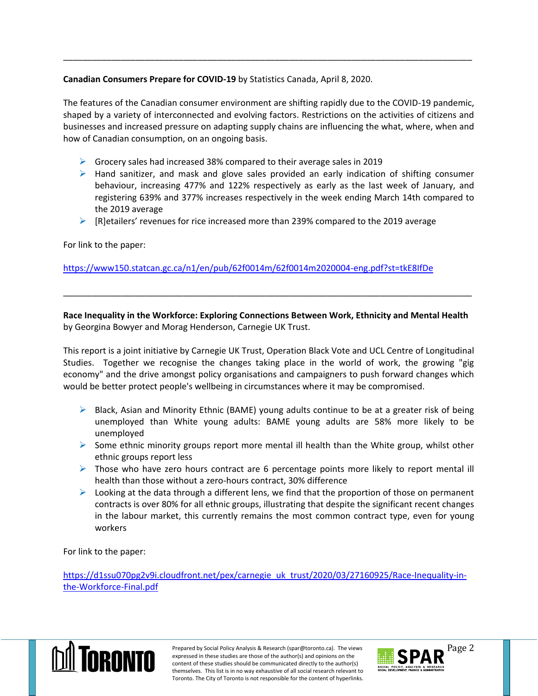## **Canadian Consumers Prepare for COVID-19** by Statistics Canada, April 8, 2020.

The features of the Canadian consumer environment are shifting rapidly due to the COVID-19 pandemic, shaped by a variety of interconnected and evolving factors. Restrictions on the activities of citizens and businesses and increased pressure on adapting supply chains are influencing the what, where, when and how of Canadian consumption, on an ongoing basis.

\_\_\_\_\_\_\_\_\_\_\_\_\_\_\_\_\_\_\_\_\_\_\_\_\_\_\_\_\_\_\_\_\_\_\_\_\_\_\_\_\_\_\_\_\_\_\_\_\_\_\_\_\_\_\_\_\_\_\_\_\_\_\_\_\_\_\_\_\_\_\_\_\_\_\_\_\_\_\_\_\_\_\_\_\_

- $\triangleright$  Grocery sales had increased 38% compared to their average sales in 2019
- $\triangleright$  Hand sanitizer, and mask and glove sales provided an early indication of shifting consumer behaviour, increasing 477% and 122% respectively as early as the last week of January, and registering 639% and 377% increases respectively in the week ending March 14th compared to the 2019 average
- $\triangleright$  [R]etailers' revenues for rice increased more than 239% compared to the 2019 average

For link to the paper:

<https://www150.statcan.gc.ca/n1/en/pub/62f0014m/62f0014m2020004-eng.pdf?st=tkE8IfDe>

**Race Inequality in the Workforce: Exploring Connections Between Work, Ethnicity and Mental Health** by Georgina Bowyer and Morag Henderson, Carnegie UK Trust.

\_\_\_\_\_\_\_\_\_\_\_\_\_\_\_\_\_\_\_\_\_\_\_\_\_\_\_\_\_\_\_\_\_\_\_\_\_\_\_\_\_\_\_\_\_\_\_\_\_\_\_\_\_\_\_\_\_\_\_\_\_\_\_\_\_\_\_\_\_\_\_\_\_\_\_\_\_\_\_\_\_\_\_\_\_

This report is a joint initiative by Carnegie UK Trust, Operation Black Vote and UCL Centre of Longitudinal Studies. Together we recognise the changes taking place in the world of work, the growing "gig economy" and the drive amongst policy organisations and campaigners to push forward changes which would be better protect people's wellbeing in circumstances where it may be compromised.

- $\triangleright$  Black, Asian and Minority Ethnic (BAME) young adults continue to be at a greater risk of being unemployed than White young adults: BAME young adults are 58% more likely to be unemployed
- $\triangleright$  Some ethnic minority groups report more mental ill health than the White group, whilst other ethnic groups report less
- $\triangleright$  Those who have zero hours contract are 6 percentage points more likely to report mental ill health than those without a zero-hours contract, 30% difference
- $\triangleright$  Looking at the data through a different lens, we find that the proportion of those on permanent contracts is over 80% for all ethnic groups, illustrating that despite the significant recent changes in the labour market, this currently remains the most common contract type, even for young workers

For link to the paper:

[https://d1ssu070pg2v9i.cloudfront.net/pex/carnegie\\_uk\\_trust/2020/03/27160925/Race-Inequality-in](https://d1ssu070pg2v9i.cloudfront.net/pex/carnegie_uk_trust/2020/03/27160925/Race-Inequality-in-the-Workforce-Final.pdf)[the-Workforce-Final.pdf](https://d1ssu070pg2v9i.cloudfront.net/pex/carnegie_uk_trust/2020/03/27160925/Race-Inequality-in-the-Workforce-Final.pdf)